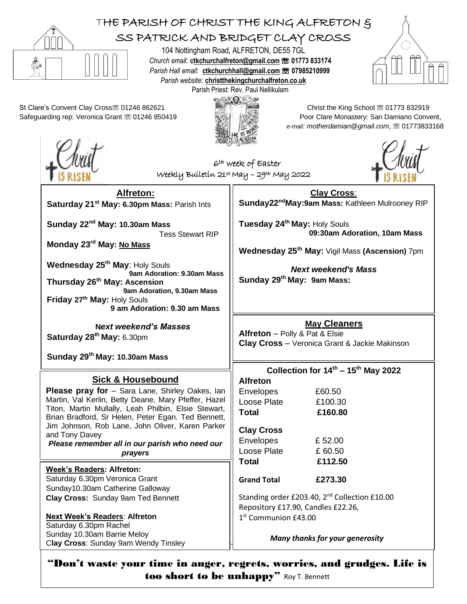

too short to be unhappy" Roy T. Bennett